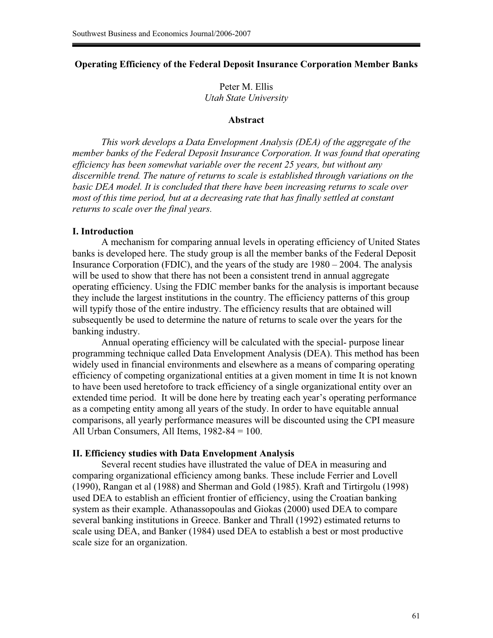## **Operating Efficiency of the Federal Deposit Insurance Corporation Member Banks**

Peter M. Ellis *Utah State University* 

## **Abstract**

 *This work develops a Data Envelopment Analysis (DEA) of the aggregate of the member banks of the Federal Deposit Insurance Corporation. It was found that operating efficiency has been somewhat variable over the recent 25 years, but without any discernible trend. The nature of returns to scale is established through variations on the basic DEA model. It is concluded that there have been increasing returns to scale over most of this time period, but at a decreasing rate that has finally settled at constant returns to scale over the final years.* 

#### **I. Introduction**

 A mechanism for comparing annual levels in operating efficiency of United States banks is developed here. The study group is all the member banks of the Federal Deposit Insurance Corporation (FDIC), and the years of the study are 1980 – 2004. The analysis will be used to show that there has not been a consistent trend in annual aggregate operating efficiency. Using the FDIC member banks for the analysis is important because they include the largest institutions in the country. The efficiency patterns of this group will typify those of the entire industry. The efficiency results that are obtained will subsequently be used to determine the nature of returns to scale over the years for the banking industry.

 Annual operating efficiency will be calculated with the special- purpose linear programming technique called Data Envelopment Analysis (DEA). This method has been widely used in financial environments and elsewhere as a means of comparing operating efficiency of competing organizational entities at a given moment in time It is not known to have been used heretofore to track efficiency of a single organizational entity over an extended time period. It will be done here by treating each year's operating performance as a competing entity among all years of the study. In order to have equitable annual comparisons, all yearly performance measures will be discounted using the CPI measure All Urban Consumers, All Items, 1982-84 = 100.

#### **II. Efficiency studies with Data Envelopment Analysis**

 Several recent studies have illustrated the value of DEA in measuring and comparing organizational efficiency among banks. These include Ferrier and Lovell (1990), Rangan et al (1988) and Sherman and Gold (1985). Kraft and Tirtirgolu (1998) used DEA to establish an efficient frontier of efficiency, using the Croatian banking system as their example. Athanassopoulas and Giokas (2000) used DEA to compare several banking institutions in Greece. Banker and Thrall (1992) estimated returns to scale using DEA, and Banker (1984) used DEA to establish a best or most productive scale size for an organization.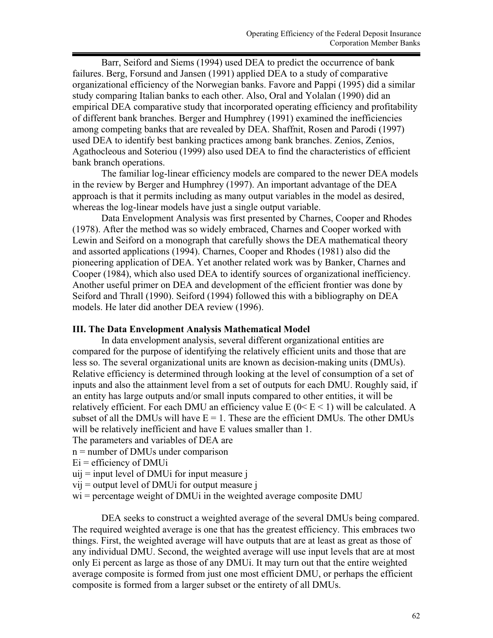Barr, Seiford and Siems (1994) used DEA to predict the occurrence of bank failures. Berg, Forsund and Jansen (1991) applied DEA to a study of comparative organizational efficiency of the Norwegian banks. Favore and Pappi (1995) did a similar study comparing Italian banks to each other. Also, Oral and Yolalan (1990) did an empirical DEA comparative study that incorporated operating efficiency and profitability of different bank branches. Berger and Humphrey (1991) examined the inefficiencies among competing banks that are revealed by DEA. Shaffnit, Rosen and Parodi (1997) used DEA to identify best banking practices among bank branches. Zenios, Zenios, Agathocleous and Soteriou (1999) also used DEA to find the characteristics of efficient bank branch operations.

 The familiar log-linear efficiency models are compared to the newer DEA models in the review by Berger and Humphrey (1997). An important advantage of the DEA approach is that it permits including as many output variables in the model as desired, whereas the log-linear models have just a single output variable.

 Data Envelopment Analysis was first presented by Charnes, Cooper and Rhodes (1978). After the method was so widely embraced, Charnes and Cooper worked with Lewin and Seiford on a monograph that carefully shows the DEA mathematical theory and assorted applications (1994). Charnes, Cooper and Rhodes (1981) also did the pioneering application of DEA. Yet another related work was by Banker, Charnes and Cooper (1984), which also used DEA to identify sources of organizational inefficiency. Another useful primer on DEA and development of the efficient frontier was done by Seiford and Thrall (1990). Seiford (1994) followed this with a bibliography on DEA models. He later did another DEA review (1996).

### **III. The Data Envelopment Analysis Mathematical Model**

 In data envelopment analysis, several different organizational entities are compared for the purpose of identifying the relatively efficient units and those that are less so. The several organizational units are known as decision-making units (DMUs). Relative efficiency is determined through looking at the level of consumption of a set of inputs and also the attainment level from a set of outputs for each DMU. Roughly said, if an entity has large outputs and/or small inputs compared to other entities, it will be relatively efficient. For each DMU an efficiency value  $E(0 \le E \le 1)$  will be calculated. A subset of all the DMUs will have  $E = 1$ . These are the efficient DMUs. The other DMUs will be relatively inefficient and have E values smaller than 1.

The parameters and variables of DEA are

- n = number of DMUs under comparison
- $Ei =$  efficiency of DMU<sub>i</sub>
- $uii$  = input level of DMU for input measure j
- $vii$  = output level of DMU for output measure j
- wi = percentage weight of DMU iin the weighted average composite DMU

 DEA seeks to construct a weighted average of the several DMUs being compared. The required weighted average is one that has the greatest efficiency. This embraces two things. First, the weighted average will have outputs that are at least as great as those of any individual DMU. Second, the weighted average will use input levels that are at most only Ei percent as large as those of any DMUi. It may turn out that the entire weighted average composite is formed from just one most efficient DMU, or perhaps the efficient composite is formed from a larger subset or the entirety of all DMUs.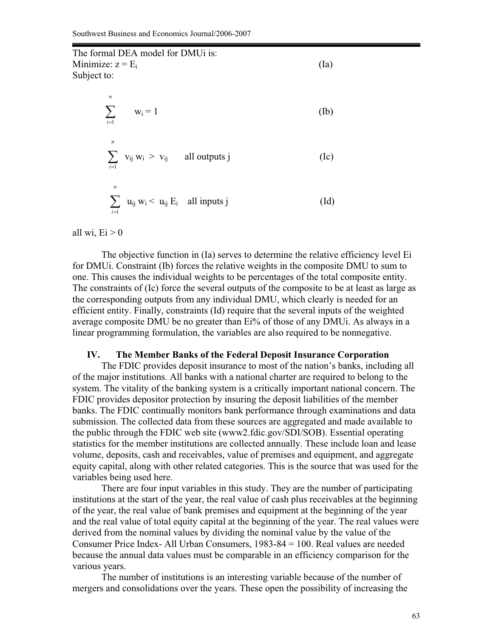The formal DEA model for DMUi is: Minimize:  $z = E_i$  (Ia) Subject to:

> $i=1$ *n*  $w_i = 1$  (Ib) = *n*  $i=1$  $v_{ij} w_i > v_{ij}$  all outputs j (Ic) *n*  $u_{ij} w_i < u_{ij} E_i$  all inputs j (Id)

all wi,  $Ei > 0$ 

=

 $i = 1$ 

 The objective function in (Ia) serves to determine the relative efficiency level Ei for DMUi. Constraint (Ib) forces the relative weights in the composite DMU to sum to one. This causes the individual weights to be percentages of the total composite entity. The constraints of (Ic) force the several outputs of the composite to be at least as large as the corresponding outputs from any individual DMU, which clearly is needed for an efficient entity. Finally, constraints (Id) require that the several inputs of the weighted average composite DMU be no greater than Ei% of those of any DMUi. As always in a linear programming formulation, the variables are also required to be nonnegative.

#### **IV. The Member Banks of the Federal Deposit Insurance Corporation**

 The FDIC provides deposit insurance to most of the nation's banks, including all of the major institutions. All banks with a national charter are required to belong to the system. The vitality of the banking system is a critically important national concern. The FDIC provides depositor protection by insuring the deposit liabilities of the member banks. The FDIC continually monitors bank performance through examinations and data submission. The collected data from these sources are aggregated and made available to the public through the FDIC web site (www2.fdic.gov/SDI/SOB). Essential operating statistics for the member institutions are collected annually. These include loan and lease volume, deposits, cash and receivables, value of premises and equipment, and aggregate equity capital, along with other related categories. This is the source that was used for the variables being used here.

 There are four input variables in this study. They are the number of participating institutions at the start of the year, the real value of cash plus receivables at the beginning of the year, the real value of bank premises and equipment at the beginning of the year and the real value of total equity capital at the beginning of the year. The real values were derived from the nominal values by dividing the nominal value by the value of the Consumer Price Index- All Urban Consumers, 1983-84 = 100. Real values are needed because the annual data values must be comparable in an efficiency comparison for the various years.

 The number of institutions is an interesting variable because of the number of mergers and consolidations over the years. These open the possibility of increasing the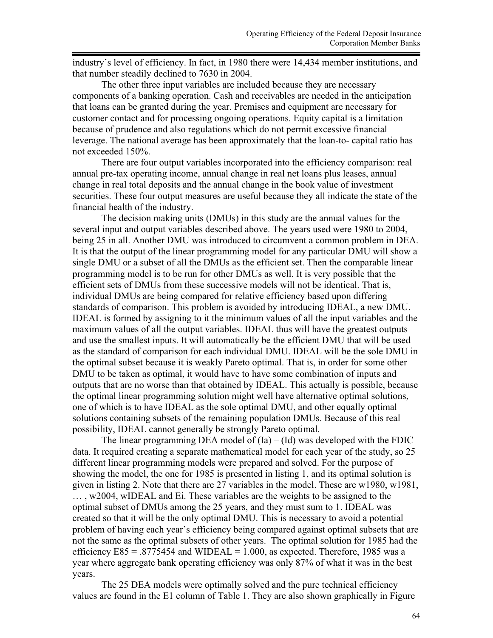industry's level of efficiency. In fact, in 1980 there were 14,434 member institutions, and that number steadily declined to 7630 in 2004.

 The other three input variables are included because they are necessary components of a banking operation. Cash and receivables are needed in the anticipation that loans can be granted during the year. Premises and equipment are necessary for customer contact and for processing ongoing operations. Equity capital is a limitation because of prudence and also regulations which do not permit excessive financial leverage. The national average has been approximately that the loan-to- capital ratio has not exceeded 150%.

 There are four output variables incorporated into the efficiency comparison: real annual pre-tax operating income, annual change in real net loans plus leases, annual change in real total deposits and the annual change in the book value of investment securities. These four output measures are useful because they all indicate the state of the financial health of the industry.

 The decision making units (DMUs) in this study are the annual values for the several input and output variables described above. The years used were 1980 to 2004, being 25 in all. Another DMU was introduced to circumvent a common problem in DEA. It is that the output of the linear programming model for any particular DMU will show a single DMU or a subset of all the DMUs as the efficient set. Then the comparable linear programming model is to be run for other DMUs as well. It is very possible that the efficient sets of DMUs from these successive models will not be identical. That is, individual DMUs are being compared for relative efficiency based upon differing standards of comparison. This problem is avoided by introducing IDEAL, a new DMU. IDEAL is formed by assigning to it the minimum values of all the input variables and the maximum values of all the output variables. IDEAL thus will have the greatest outputs and use the smallest inputs. It will automatically be the efficient DMU that will be used as the standard of comparison for each individual DMU. IDEAL will be the sole DMU in the optimal subset because it is weakly Pareto optimal. That is, in order for some other DMU to be taken as optimal, it would have to have some combination of inputs and outputs that are no worse than that obtained by IDEAL. This actually is possible, because the optimal linear programming solution might well have alternative optimal solutions, one of which is to have IDEAL as the sole optimal DMU, and other equally optimal solutions containing subsets of the remaining population DMUs. Because of this real possibility, IDEAL cannot generally be strongly Pareto optimal.

The linear programming DEA model of  $(Ia) - (Id)$  was developed with the FDIC data. It required creating a separate mathematical model for each year of the study, so 25 different linear programming models were prepared and solved. For the purpose of showing the model, the one for 1985 is presented in listing 1, and its optimal solution is given in listing 2. Note that there are 27 variables in the model. These are w1980, w1981, … , w2004, wIDEAL and Ei. These variables are the weights to be assigned to the optimal subset of DMUs among the 25 years, and they must sum to 1. IDEAL was created so that it will be the only optimal DMU. This is necessary to avoid a potential problem of having each year's efficiency being compared against optimal subsets that are not the same as the optimal subsets of other years. The optimal solution for 1985 had the efficiency  $E85 = .8775454$  and WIDEAL = 1.000, as expected. Therefore, 1985 was a year where aggregate bank operating efficiency was only 87% of what it was in the best years.

 The 25 DEA models were optimally solved and the pure technical efficiency values are found in the E1 column of Table 1. They are also shown graphically in Figure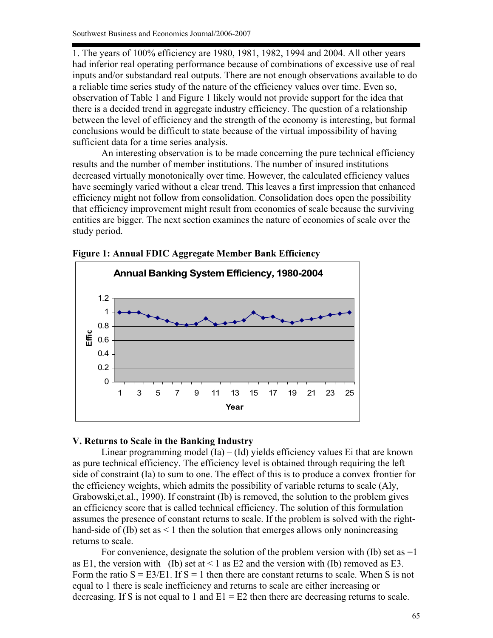1. The years of 100% efficiency are 1980, 1981, 1982, 1994 and 2004. All other years had inferior real operating performance because of combinations of excessive use of real inputs and/or substandard real outputs. There are not enough observations available to do a reliable time series study of the nature of the efficiency values over time. Even so, observation of Table 1 and Figure 1 likely would not provide support for the idea that there is a decided trend in aggregate industry efficiency. The question of a relationship between the level of efficiency and the strength of the economy is interesting, but formal conclusions would be difficult to state because of the virtual impossibility of having sufficient data for a time series analysis.

 An interesting observation is to be made concerning the pure technical efficiency results and the number of member institutions. The number of insured institutions decreased virtually monotonically over time. However, the calculated efficiency values have seemingly varied without a clear trend. This leaves a first impression that enhanced efficiency might not follow from consolidation. Consolidation does open the possibility that efficiency improvement might result from economies of scale because the surviving entities are bigger. The next section examines the nature of economies of scale over the study period.



**Figure 1: Annual FDIC Aggregate Member Bank Efficiency** 

### **V. Returns to Scale in the Banking Industry**

Linear programming model  $(Ia) - (Id)$  yields efficiency values Ei that are known as pure technical efficiency. The efficiency level is obtained through requiring the left side of constraint (Ia) to sum to one. The effect of this is to produce a convex frontier for the efficiency weights, which admits the possibility of variable returns to scale (Aly, Grabowski,et.al., 1990). If constraint (Ib) is removed, the solution to the problem gives an efficiency score that is called technical efficiency. The solution of this formulation assumes the presence of constant returns to scale. If the problem is solved with the righthand-side of (Ib) set as < 1 then the solution that emerges allows only nonincreasing returns to scale.

For convenience, designate the solution of the problem version with (Ib) set as  $=1$ as E1, the version with (Ib) set at  $\leq 1$  as E2 and the version with (Ib) removed as E3. Form the ratio  $S = E3/E1$ . If  $S = 1$  then there are constant returns to scale. When S is not equal to 1 there is scale inefficiency and returns to scale are either increasing or decreasing. If S is not equal to 1 and  $E1 = E2$  then there are decreasing returns to scale.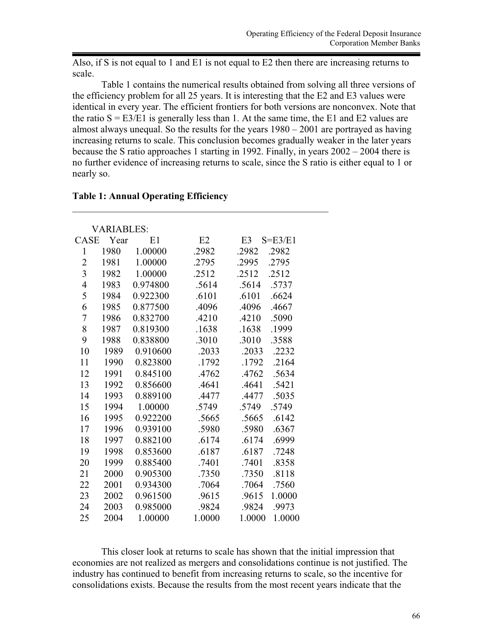Also, if S is not equal to 1 and E1 is not equal to E2 then there are increasing returns to scale.

 Table 1 contains the numerical results obtained from solving all three versions of the efficiency problem for all 25 years. It is interesting that the E2 and E3 values were identical in every year. The efficient frontiers for both versions are nonconvex. Note that the ratio  $S = E3/E1$  is generally less than 1. At the same time, the E1 and E2 values are almost always unequal. So the results for the years 1980 – 2001 are portrayed as having increasing returns to scale. This conclusion becomes gradually weaker in the later years because the S ratio approaches 1 starting in 1992. Finally, in years  $2002 - 2004$  there is no further evidence of increasing returns to scale, since the S ratio is either equal to 1 or nearly so.

### **Table 1: Annual Operating Efficiency**

| <b>VARIABLES:</b>        |      |          |        |                               |  |
|--------------------------|------|----------|--------|-------------------------------|--|
| <b>CASE</b>              | Year | E1       | E2     | E <sub>3</sub><br>$S = E3/E1$ |  |
| $\mathbf{1}$             | 1980 | 1.00000  | .2982  | .2982<br>.2982                |  |
| $\overline{2}$           | 1981 | 1.00000  | .2795  | .2795<br>.2995                |  |
| $\overline{3}$           | 1982 | 1.00000  | .2512  | .2512<br>.2512                |  |
| $\overline{\mathcal{A}}$ | 1983 | 0.974800 | .5614  | .5614<br>.5737                |  |
| 5                        | 1984 | 0.922300 | .6101  | .6101<br>.6624                |  |
| 6                        | 1985 | 0.877500 | .4096  | .4096<br>.4667                |  |
| $\overline{7}$           | 1986 | 0.832700 | .4210  | .4210<br>.5090                |  |
| 8                        | 1987 | 0.819300 | .1638  | .1638<br>.1999                |  |
| 9                        | 1988 | 0.838800 | .3010  | .3010<br>.3588                |  |
| 10                       | 1989 | 0.910600 | .2033  | .2033<br>.2232                |  |
| 11                       | 1990 | 0.823800 | .1792  | .1792<br>.2164                |  |
| 12                       | 1991 | 0.845100 | .4762  | .4762<br>.5634                |  |
| 13                       | 1992 | 0.856600 | .4641  | .4641<br>.5421                |  |
| 14                       | 1993 | 0.889100 | .4477  | .4477<br>.5035                |  |
| 15                       | 1994 | 1.00000  | .5749  | .5749<br>.5749                |  |
| 16                       | 1995 | 0.922200 | .5665  | .5665<br>.6142                |  |
| 17                       | 1996 | 0.939100 | .5980  | .6367<br>.5980                |  |
| 18                       | 1997 | 0.882100 | .6174  | .6174<br>.6999                |  |
| 19                       | 1998 | 0.853600 | .6187  | .6187<br>.7248                |  |
| 20                       | 1999 | 0.885400 | .7401  | .7401<br>.8358                |  |
| 21                       | 2000 | 0.905300 | .7350  | .8118<br>.7350                |  |
| 22                       | 2001 | 0.934300 | .7064  | .7064<br>.7560                |  |
| 23                       | 2002 | 0.961500 | .9615  | .9615<br>1.0000               |  |
| 24                       | 2003 | 0.985000 | .9824  | .9824<br>.9973                |  |
| 25                       | 2004 | 1.00000  | 1.0000 | 1.0000<br>1.0000              |  |

\_\_\_\_\_\_\_\_\_\_\_\_\_\_\_\_\_\_\_\_\_\_\_\_\_\_\_\_\_\_\_\_\_\_\_\_\_\_\_\_\_\_\_\_\_\_\_\_\_\_\_\_\_

 This closer look at returns to scale has shown that the initial impression that economies are not realized as mergers and consolidations continue is not justified. The industry has continued to benefit from increasing returns to scale, so the incentive for consolidations exists. Because the results from the most recent years indicate that the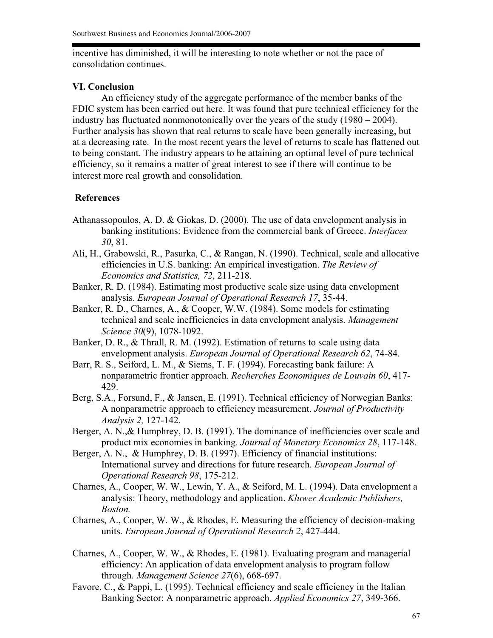incentive has diminished, it will be interesting to note whether or not the pace of consolidation continues.

## **VI. Conclusion**

 An efficiency study of the aggregate performance of the member banks of the FDIC system has been carried out here. It was found that pure technical efficiency for the industry has fluctuated nonmonotonically over the years of the study (1980 – 2004). Further analysis has shown that real returns to scale have been generally increasing, but at a decreasing rate. In the most recent years the level of returns to scale has flattened out to being constant. The industry appears to be attaining an optimal level of pure technical efficiency, so it remains a matter of great interest to see if there will continue to be interest more real growth and consolidation.

# **References**

- Athanassopoulos, A. D. & Giokas, D. (2000). The use of data envelopment analysis in banking institutions: Evidence from the commercial bank of Greece. *Interfaces 30*, 81.
- Ali, H., Grabowski, R., Pasurka, C., & Rangan, N. (1990). Technical, scale and allocative efficiencies in U.S. banking: An empirical investigation. *The Review of Economics and Statistics, 72*, 211-218.
- Banker, R. D. (1984). Estimating most productive scale size using data envelopment analysis. *European Journal of Operational Research 17*, 35-44.
- Banker, R. D., Charnes, A., & Cooper, W.W. (1984). Some models for estimating technical and scale inefficiencies in data envelopment analysis. *Management Science 30*(9), 1078-1092.
- Banker, D. R., & Thrall, R. M. (1992). Estimation of returns to scale using data envelopment analysis. *European Journal of Operational Research 62*, 74-84.
- Barr, R. S., Seiford, L. M., & Siems, T. F. (1994). Forecasting bank failure: A nonparametric frontier approach. *Recherches Economiques de Louvain 60*, 417- 429.
- Berg, S.A., Forsund, F., & Jansen, E. (1991). Technical efficiency of Norwegian Banks: A nonparametric approach to efficiency measurement. *Journal of Productivity Analysis 2,* 127-142.
- Berger, A. N., & Humphrey, D. B. (1991). The dominance of inefficiencies over scale and product mix economies in banking. *Journal of Monetary Economics 28*, 117-148.
- Berger, A. N., & Humphrey, D. B. (1997). Efficiency of financial institutions: International survey and directions for future research. *European Journal of Operational Research 98*, 175-212.
- Charnes, A., Cooper, W. W., Lewin, Y. A., & Seiford, M. L. (1994). Data envelopment a analysis: Theory, methodology and application. *Kluwer Academic Publishers, Boston.*
- Charnes, A., Cooper, W. W., & Rhodes, E. Measuring the efficiency of decision-making units. *European Journal of Operational Research 2*, 427-444.
- Charnes, A., Cooper, W. W., & Rhodes, E. (1981). Evaluating program and managerial efficiency: An application of data envelopment analysis to program follow through. *Management Science 27*(6), 668-697.
- Favore, C., & Pappi, L. (1995). Technical efficiency and scale efficiency in the Italian Banking Sector: A nonparametric approach. *Applied Economics 27*, 349-366.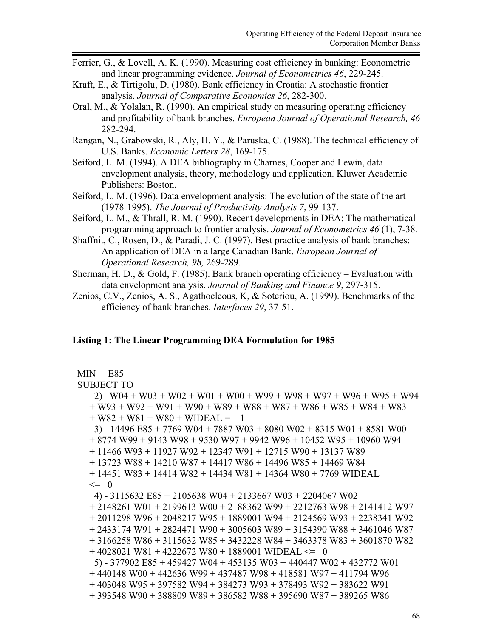- Ferrier, G., & Lovell, A. K. (1990). Measuring cost efficiency in banking: Econometric and linear programming evidence. *Journal of Econometrics 46*, 229-245.
- Kraft, E., & Tirtigolu, D. (1980). Bank efficiency in Croatia: A stochastic frontier analysis. *Journal of Comparative Economics 26*, 282-300.
- Oral, M., & Yolalan, R. (1990). An empirical study on measuring operating efficiency and profitability of bank branches. *European Journal of Operational Research, 46* 282-294.
- Rangan, N., Grabowski, R., Aly, H. Y., & Paruska, C. (1988). The technical efficiency of U.S. Banks. *Economic Letters 28*, 169-175.
- Seiford, L. M. (1994). A DEA bibliography in Charnes, Cooper and Lewin, data envelopment analysis, theory, methodology and application. Kluwer Academic Publishers: Boston.
- Seiford, L. M. (1996). Data envelopment analysis: The evolution of the state of the art (1978-1995). *The Journal of Productivity Analysis 7*, 99-137.
- Seiford, L. M., & Thrall, R. M. (1990). Recent developments in DEA: The mathematical programming approach to frontier analysis. *Journal of Econometrics 46* (1), 7-38.
- Shaffnit, C., Rosen, D., & Paradi, J. C. (1997). Best practice analysis of bank branches: An application of DEA in a large Canadian Bank. *European Journal of Operational Research, 98,* 269-289.
- Sherman, H. D., & Gold, F. (1985). Bank branch operating efficiency Evaluation with data envelopment analysis. *Journal of Banking and Finance 9*, 297-315.
- Zenios, C.V., Zenios, A. S., Agathocleous, K, & Soteriou, A. (1999). Benchmarks of the efficiency of bank branches. *Interfaces 29*, 37-51.

\_\_\_\_\_\_\_\_\_\_\_\_\_\_\_\_\_\_\_\_\_\_\_\_\_\_\_\_\_\_\_\_\_\_\_\_\_\_\_\_\_\_\_\_\_\_\_\_\_\_\_\_\_\_\_\_\_\_\_\_\_\_\_\_\_\_\_\_

### **Listing 1: The Linear Programming DEA Formulation for 1985**

# MIN E85

SUBJECT TO

 2) W04 + W03 + W02 + W01 + W00 + W99 + W98 + W97 + W96 + W95 + W94  $+$  W93 + W92 + W91 + W90 + W89 + W88 + W87 + W86 + W85 + W84 + W83  $+$  W82 + W81 + W80 + WIDEAL = 1 3) - 14496 E85 + 7769 W04 + 7887 W03 + 8080 W02 + 8315 W01 + 8581 W00 + 8774 W99 + 9143 W98 + 9530 W97 + 9942 W96 + 10452 W95 + 10960 W94 + 11466 W93 + 11927 W92 + 12347 W91 + 12715 W90 + 13137 W89 + 13723 W88 + 14210 W87 + 14417 W86 + 14496 W85 + 14469 W84 + 14451 W83 + 14414 W82 + 14434 W81 + 14364 W80 + 7769 WIDEAL  $\leq 0$  4) - 3115632 E85 + 2105638 W04 + 2133667 W03 + 2204067 W02 + 2148261 W01 + 2199613 W00 + 2188362 W99 + 2212763 W98 + 2141412 W97 + 2011298 W96 + 2048217 W95 + 1889001 W94 + 2124569 W93 + 2238341 W92  $+ 2433174 W91 + 2824471 W90 + 3005603 W89 + 3154390 W88 + 3461046 W87$  + 3166258 W86 + 3115632 W85 + 3432228 W84 + 3463378 W83 + 3601870 W82  $+ 4028021$  W81 + 4222672 W80 + 1889001 WIDEAL  $\leq 0$  5) - 377902 E85 + 459427 W04 + 453135 W03 + 440447 W02 + 432772 W01 + 440148 W00 + 442636 W99 + 437487 W98 + 418581 W97 + 411794 W96 + 403048 W95 + 397582 W94 + 384273 W93 + 378493 W92 + 383622 W91 + 393548 W90 + 388809 W89 + 386582 W88 + 395690 W87 + 389265 W86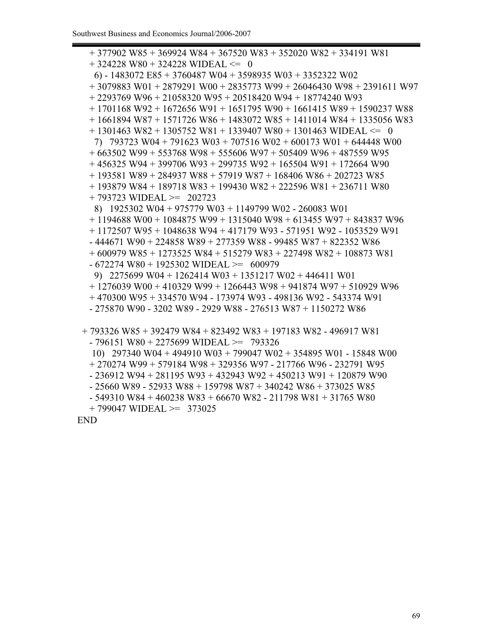+ 377902 W85 + 369924 W84 + 367520 W83 + 352020 W82 + 334191 W81  $+ 324228$  W80 + 324228 WIDEAL  $\leq 0$  6) - 1483072 E85 + 3760487 W04 + 3598935 W03 + 3352322 W02 + 3079883 W01 + 2879291 W00 + 2835773 W99 + 26046430 W98 + 2391611 W97 + 2293769 W96 + 21058320 W95 + 20518420 W94 + 18774240 W93 + 1701168 W92 + 1672656 W91 + 1651795 W90 + 1661415 W89 + 1590237 W88  $+ 1661894 W87 + 1571726 W86 + 1483072 W85 + 1411014 W84 + 1335056 W83$  $+ 1301463$  W82 + 1305752 W81 + 1339407 W80 + 1301463 WIDEAL  $\leq 0$  7) 793723 W04 + 791623 W03 + 707516 W02 + 600173 W01 + 644448 W00 + 663502 W99 + 553768 W98 + 555606 W97 + 505409 W96 + 487559 W95  $+ 456325$  W94 + 399706 W93 + 299735 W92 + 165504 W91 + 172664 W90 + 193581 W89 + 284937 W88 + 57919 W87 + 168406 W86 + 202723 W85 + 193879 W84 + 189718 W83 + 199430 W82 + 222596 W81 + 236711 W80 + 793723 WIDEAL >= 202723 8) 1925302 W04 + 975779 W03 + 1149799 W02 - 260083 W01 + 1194688 W00 + 1084875 W99 + 1315040 W98 + 613455 W97 + 843837 W96 + 1172507 W95 + 1048638 W94 + 417179 W93 - 571951 W92 - 1053529 W91 - 444671 W90 + 224858 W89 + 277359 W88 - 99485 W87 + 822352 W86 + 600979 W85 + 1273525 W84 + 515279 W83 + 227498 W82 + 108873 W81  $-672274$  W80 + 1925302 WIDEAL >= 600979 9) 2275699 W04 + 1262414 W03 + 1351217 W02 + 446411 W01 + 1276039 W00 + 410329 W99 + 1266443 W98 + 941874 W97 + 510929 W96 + 470300 W95 + 334570 W94 - 173974 W93 - 498136 W92 - 543374 W91 - 275870 W90 - 3202 W89 - 2929 W88 - 276513 W87 + 1150272 W86 + 793326 W85 + 392479 W84 + 823492 W83 + 197183 W82 - 496917 W81 - 796151 W80 + 2275699 WIDEAL >= 793326 10) 297340 W04 + 494910 W03 + 799047 W02 + 354895 W01 - 15848 W00 + 270274 W99 + 579184 W98 + 329356 W97 - 217766 W96 - 232791 W95 - 236912 W94 + 281195 W93 + 432943 W92 + 450213 W91 + 120879 W90 - 25660 W89 - 52933 W88 + 159798 W87 + 340242 W86 + 373025 W85 - 549310 W84 + 460238 W83 + 66670 W82 - 211798 W81 + 31765 W80

 $+ 799047$  WIDEAL  $\geq 373025$ 

END